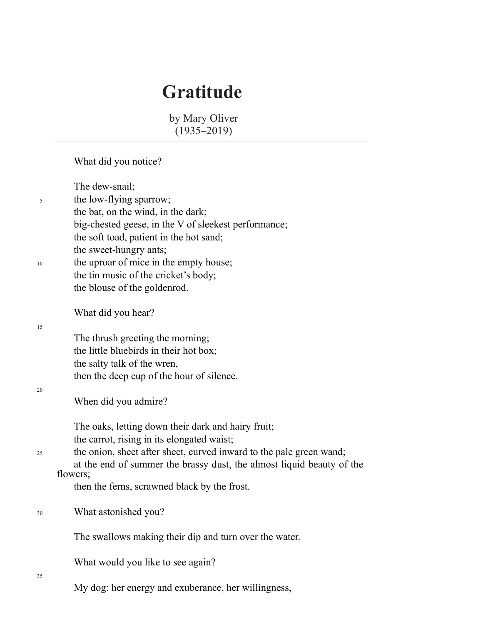## **Gratitude**

 by Mary Oliver (1935–2019)

|    | What did you notice?                                                                                                                                                                                                                             |
|----|--------------------------------------------------------------------------------------------------------------------------------------------------------------------------------------------------------------------------------------------------|
| 5  | The dew-snail;<br>the low-flying sparrow;<br>the bat, on the wind, in the dark;<br>big-chested geese, in the V of sleekest performance;                                                                                                          |
| 10 | the soft toad, patient in the hot sand;<br>the sweet-hungry ants;<br>the uproar of mice in the empty house;<br>the tin music of the cricket's body;<br>the blouse of the goldenrod.                                                              |
| 15 | What did you hear?                                                                                                                                                                                                                               |
|    | The thrush greeting the morning;<br>the little bluebirds in their hot box;                                                                                                                                                                       |
|    | the salty talk of the wren,<br>then the deep cup of the hour of silence.                                                                                                                                                                         |
| 20 | When did you admire?                                                                                                                                                                                                                             |
| 25 | The oaks, letting down their dark and hairy fruit;<br>the carrot, rising in its elongated waist;<br>the onion, sheet after sheet, curved inward to the pale green wand;<br>at the end of summer the brassy dust, the almost liquid beauty of the |
|    | flowers;<br>then the ferns, scrawned black by the frost.                                                                                                                                                                                         |
| 30 | What astonished you?                                                                                                                                                                                                                             |
|    | The swallows making their dip and turn over the water.                                                                                                                                                                                           |
|    | What would you like to see again?                                                                                                                                                                                                                |
| 35 | My dog: her energy and exuberance, her willingness,                                                                                                                                                                                              |